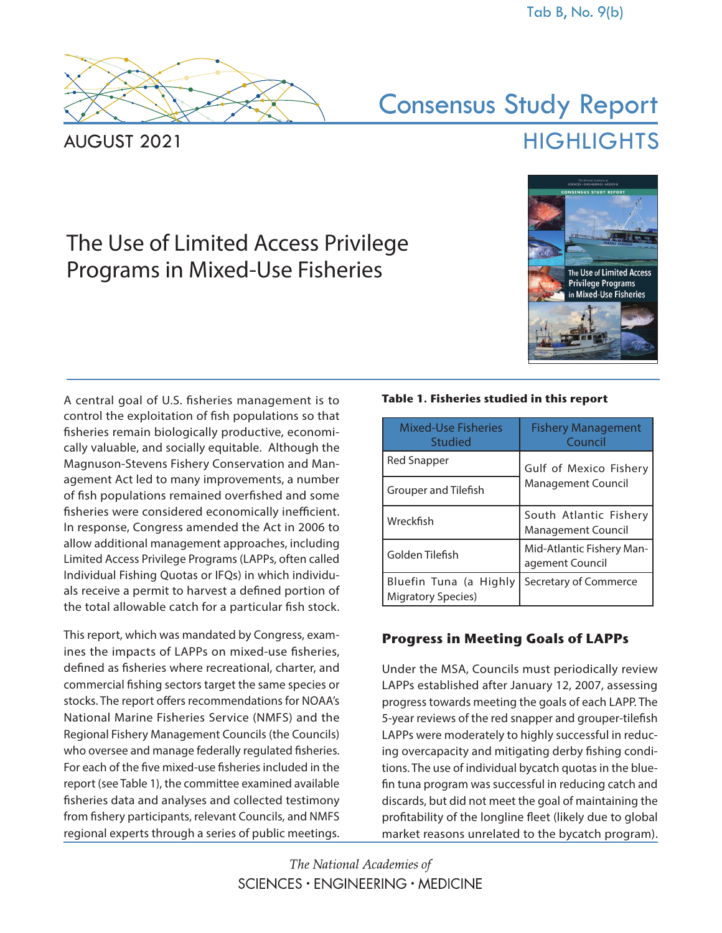

AUGUST 2021

# Consensus Study Report **HIGHLIGHTS**

# The Use of Limited Access Privilege Programs in Mixed-Use Fisheries



A central goal of U.S. fisheries management is to control the exploitation of fish populations so that fisheries remain biologically productive, economically valuable, and socially equitable. Although the Magnuson-Stevens Fishery Conservation and Management Act led to many improvements, a number of fish populations remained overfished and some fisheries were considered economically inefficient. In response, Congress amended the Act in 2006 to allow additional management approaches, including Limited Access Privilege Programs (LAPPs, often called Individual Fishing Quotas or IFQs) in which individuals receive a permit to harvest a defined portion of the total allowable catch for a particular fish stock.

This report, which was mandated by Congress, examines the impacts of LAPPs on mixed-use fisheries, defined as fisheries where recreational, charter, and commercial fishing sectors target the same species or stocks. The report offers recommendations for NOAA's National Marine Fisheries Service (NMFS) and the Regional Fishery Management Councils (the Councils) who oversee and manage federally regulated fisheries. For each of the five mixed-use fisheries included in the report (see Table 1), the committee examined available fisheries data and analyses and collected testimony from fishery participants, relevant Councils, and NMFS regional experts through a series of public meetings.

#### **Table 1. Fisheries studied in this report**

| <b>Mixed-Use Fisheries</b><br>Studied               | <b>Fishery Management</b><br>Council                |
|-----------------------------------------------------|-----------------------------------------------------|
| <b>Red Snapper</b>                                  | Gulf of Mexico Fishery                              |
| Grouper and Tilefish                                | <b>Management Council</b>                           |
| Wreckfish                                           | South Atlantic Fishery<br><b>Management Council</b> |
| Golden Tilefish                                     | Mid-Atlantic Fishery Man-<br>agement Council        |
| Bluefin Tuna (a Highly<br><b>Migratory Species)</b> | Secretary of Commerce                               |

# **Progress in Meeting Goals of LAPPs**

Under the MSA, Councils must periodically review LAPPs established after January 12, 2007, assessing progress towards meeting the goals of each LAPP. The 5-year reviews of the red snapper and grouper-tilefish LAPPs were moderately to highly successful in reducing overcapacity and mitigating derby fishing conditions. The use of individual bycatch quotas in the bluefin tuna program was successful in reducing catch and discards, but did not meet the goal of maintaining the profitability of the longline fleet (likely due to global market reasons unrelated to the bycatch program).

The National Academies of  $SCIFNCFS \cdot FNGINFFRING \cdot MFDICINE$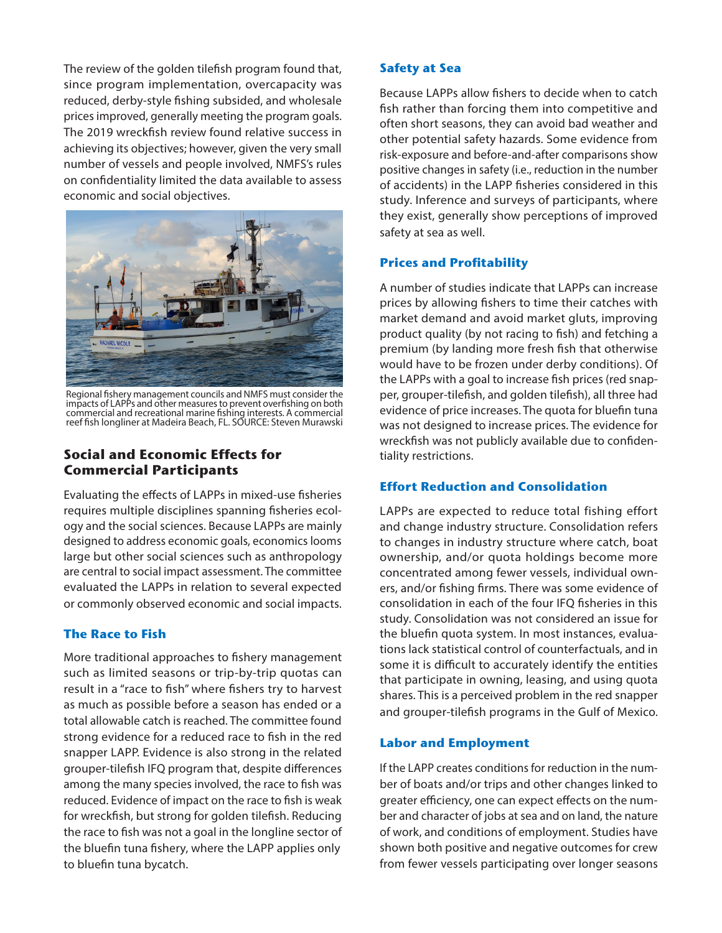The review of the golden tilefish program found that, since program implementation, overcapacity was reduced, derby-style fishing subsided, and wholesale prices improved, generally meeting the program goals. The 2019 wreckfish review found relative success in achieving its objectives; however, given the very small number of vessels and people involved, NMFS's rules on confidentiality limited the data available to assess economic and social objectives.



Regional fishery management councils and NMFS must consider the impacts of LAPPs and other measures to prevent overfishing on both commercial and recreational marine fishing interests. A commercial reef fish longliner at Madeira Beach, FL. SOURCE: Steven Murawski

# **Social and Economic Effects for Commercial Participants**

Evaluating the effects of LAPPs in mixed-use fisheries requires multiple disciplines spanning fisheries ecology and the social sciences. Because LAPPs are mainly designed to address economic goals, economics looms large but other social sciences such as anthropology are central to social impact assessment. The committee evaluated the LAPPs in relation to several expected or commonly observed economic and social impacts.

# **The Race to Fish**

More traditional approaches to fishery management such as limited seasons or trip-by-trip quotas can result in a "race to fish" where fishers try to harvest as much as possible before a season has ended or a total allowable catch is reached. The committee found strong evidence for a reduced race to fish in the red snapper LAPP. Evidence is also strong in the related grouper-tilefish IFQ program that, despite differences among the many species involved, the race to fish was reduced. Evidence of impact on the race to fish is weak for wreckfish, but strong for golden tilefish. Reducing the race to fish was not a goal in the longline sector of the bluefin tuna fishery, where the LAPP applies only to bluefin tuna bycatch.

#### **Safety at Sea**

Because LAPPs allow fishers to decide when to catch fish rather than forcing them into competitive and often short seasons, they can avoid bad weather and other potential safety hazards. Some evidence from risk-exposure and before-and-after comparisons show positive changes in safety (i.e., reduction in the number of accidents) in the LAPP fisheries considered in this study. Inference and surveys of participants, where they exist, generally show perceptions of improved safety at sea as well.

#### **Prices and Profitability**

A number of studies indicate that LAPPs can increase prices by allowing fishers to time their catches with market demand and avoid market gluts, improving product quality (by not racing to fish) and fetching a premium (by landing more fresh fish that otherwise would have to be frozen under derby conditions). Of the LAPPs with a goal to increase fish prices (red snapper, grouper-tilefish, and golden tilefish), all three had evidence of price increases. The quota for bluefin tuna was not designed to increase prices. The evidence for wreckfish was not publicly available due to confidentiality restrictions.

#### **Effort Reduction and Consolidation**

LAPPs are expected to reduce total fishing effort and change industry structure. Consolidation refers to changes in industry structure where catch, boat ownership, and/or quota holdings become more concentrated among fewer vessels, individual owners, and/or fishing firms. There was some evidence of consolidation in each of the four IFQ fisheries in this study. Consolidation was not considered an issue for the bluefin quota system. In most instances, evaluations lack statistical control of counterfactuals, and in some it is difficult to accurately identify the entities that participate in owning, leasing, and using quota shares. This is a perceived problem in the red snapper and grouper-tilefish programs in the Gulf of Mexico.

#### **Labor and Employment**

If the LAPP creates conditions for reduction in the number of boats and/or trips and other changes linked to greater efficiency, one can expect effects on the number and character of jobs at sea and on land, the nature of work, and conditions of employment. Studies have shown both positive and negative outcomes for crew from fewer vessels participating over longer seasons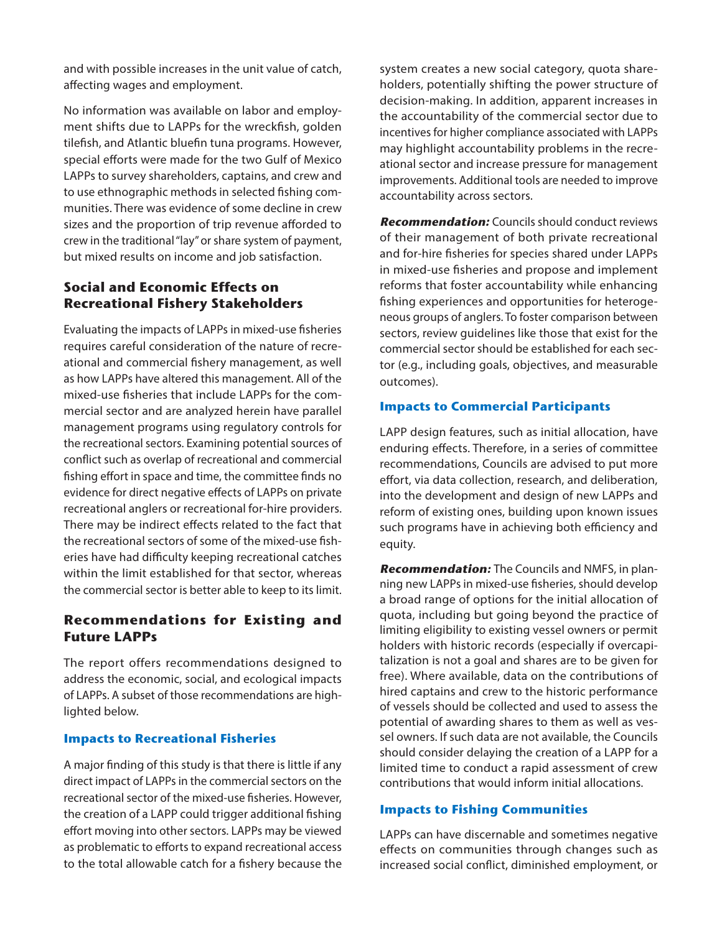and with possible increases in the unit value of catch, affecting wages and employment.

No information was available on labor and employment shifts due to LAPPs for the wreckfish, golden tilefish, and Atlantic bluefin tuna programs. However, special efforts were made for the two Gulf of Mexico LAPPs to survey shareholders, captains, and crew and to use ethnographic methods in selected fishing communities. There was evidence of some decline in crew sizes and the proportion of trip revenue afforded to crew in the traditional "lay" or share system of payment, but mixed results on income and job satisfaction.

# **Social and Economic Effects on Recreational Fishery Stakeholders**

Evaluating the impacts of LAPPs in mixed-use fisheries requires careful consideration of the nature of recreational and commercial fishery management, as well as how LAPPs have altered this management. All of the mixed-use fisheries that include LAPPs for the commercial sector and are analyzed herein have parallel management programs using regulatory controls for the recreational sectors. Examining potential sources of conflict such as overlap of recreational and commercial fishing effort in space and time, the committee finds no evidence for direct negative effects of LAPPs on private recreational anglers or recreational for-hire providers. There may be indirect effects related to the fact that the recreational sectors of some of the mixed-use fisheries have had difficulty keeping recreational catches within the limit established for that sector, whereas the commercial sector is better able to keep to its limit.

# **Recommendations for Existing and Future LAPPs**

The report offers recommendations designed to address the economic, social, and ecological impacts of LAPPs. A subset of those recommendations are highlighted below.

#### **Impacts to Recreational Fisheries**

A major finding of this study is that there is little if any direct impact of LAPPs in the commercial sectors on the recreational sector of the mixed-use fisheries. However, the creation of a LAPP could trigger additional fishing effort moving into other sectors. LAPPs may be viewed as problematic to efforts to expand recreational access to the total allowable catch for a fishery because the system creates a new social category, quota shareholders, potentially shifting the power structure of decision-making. In addition, apparent increases in the accountability of the commercial sector due to incentives for higher compliance associated with LAPPs may highlight accountability problems in the recreational sector and increase pressure for management improvements. Additional tools are needed to improve accountability across sectors.

**Recommendation:** Councils should conduct reviews of their management of both private recreational and for-hire fisheries for species shared under LAPPs in mixed-use fisheries and propose and implement reforms that foster accountability while enhancing fishing experiences and opportunities for heterogeneous groups of anglers. To foster comparison between sectors, review guidelines like those that exist for the commercial sector should be established for each sector (e.g., including goals, objectives, and measurable outcomes).

#### **Impacts to Commercial Participants**

LAPP design features, such as initial allocation, have enduring effects. Therefore, in a series of committee recommendations, Councils are advised to put more effort, via data collection, research, and deliberation, into the development and design of new LAPPs and reform of existing ones, building upon known issues such programs have in achieving both efficiency and equity.

**Recommendation:** The Councils and NMFS, in planning new LAPPs in mixed-use fisheries, should develop a broad range of options for the initial allocation of quota, including but going beyond the practice of limiting eligibility to existing vessel owners or permit holders with historic records (especially if overcapitalization is not a goal and shares are to be given for free). Where available, data on the contributions of hired captains and crew to the historic performance of vessels should be collected and used to assess the potential of awarding shares to them as well as vessel owners. If such data are not available, the Councils should consider delaying the creation of a LAPP for a limited time to conduct a rapid assessment of crew contributions that would inform initial allocations.

# **Impacts to Fishing Communities**

LAPPs can have discernable and sometimes negative effects on communities through changes such as increased social conflict, diminished employment, or